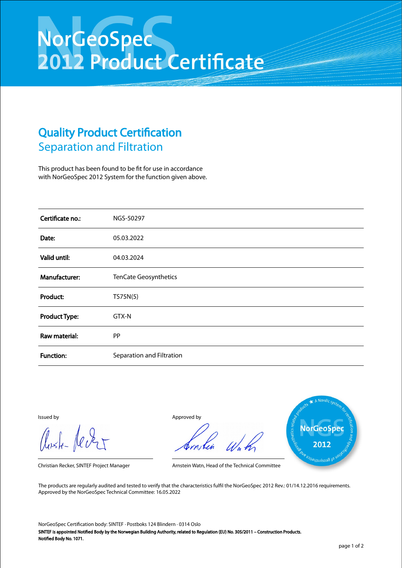## NorGeoSpec<br>2012 Product Certificate

## Quality Product Certification Separation and Filtration

This product has been found to be fit for use in accordance with NorGeoSpec 2012 System for the function given above.

| Certificate no.:     | NGS-50297                 |
|----------------------|---------------------------|
| Date:                | 05.03.2022                |
| Valid until:         | 04.03.2024                |
| Manufacturer:        | TenCate Geosynthetics     |
| Product:             | TS75N(5)                  |
| <b>Product Type:</b> | GTX-N                     |
| Raw material:        | <b>PP</b>                 |
| <b>Function:</b>     | Separation and Filtration |

Aust-Jever

Issued by Approved by



Christian Recker, SINTEF Project Manager Arnstein Watn, Head of the Technical Committee

The products are regularly audited and tested to verify that the characteristics fulfil the NorGeoSpec 2012 Rev.: 01/14.12.2016 requirements. Approved by the NorGeoSpec Technical Committee: 16.05.2022